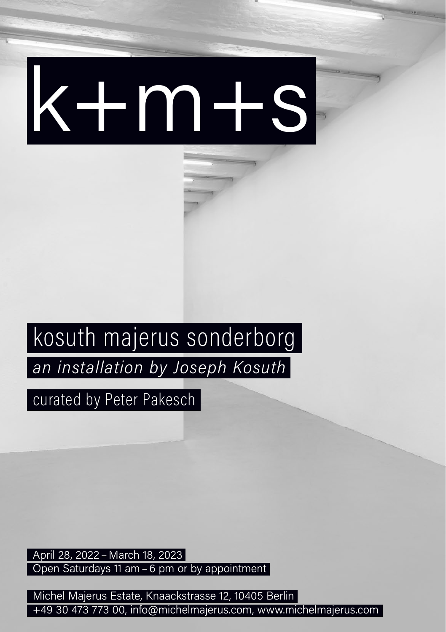## k+m+s

## kosuth majerus sonderborg

an installation by Joseph Kosuth

curated by Peter Pakesch

April 28, 2022 – March 18, 2023 Open Saturdays 11 am – 6 pm or by appointment

Michel Majerus Estate, Knaackstrasse 12, 10405 Berlin +49 30 473 773 00, info@michelmajerus.com, www.michelmajerus.com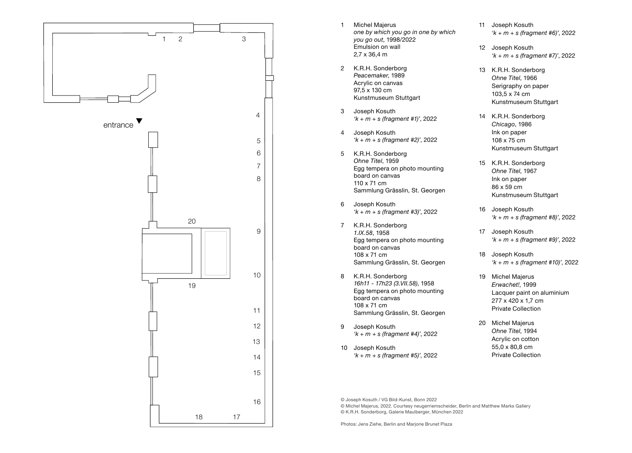

- 1 Michel Majerus *one by which you go in one by which you go out*, 1998/2022 Emulsion on wall 2,7 x 36,4 m
- 2 K.R.H. Sonderborg *Peacemaker*, 1989 Acrylic on canvas 97,5 x 130 cm Kunstmuseum Stuttgart
- 3 Joseph Kosuth *'k + m + s (fragment #1)'*, 2022
- 4 Joseph Kosuth *'k + m + s (fragment #2)'*, 2022
- 5 K.R.H. Sonderborg *Ohne Titel*, 1959 Egg tempera on photo mounting board on canvas 110 x 71 cm Sammlung Grässlin, St. Georgen
- 6 Joseph Kosuth *'k + m + s (fragment #3)'*, 2022
- 7 K.R.H. Sonderborg *1.IX.58*, 1958 Egg tempera on photo mounting board on canvas 108 x 71 cm Sammlung Grässlin, St. Georgen
- 8 K.R.H. Sonderborg *16h11 - 17h23 (3.VII.58)*, 1958 Egg tempera on photo mounting board on canvas 108 x 71 cm Sammlung Grässlin, St. Georgen
- 9 Joseph Kosuth *'k + m + s (fragment #4)'*, 2022
- 10 Joseph Kosuth *'k + m + s (fragment #5)'*, 2022
- 11 Joseph Kosuth *'k + m + s (fragment #6)'*, 2022
- 12 Joseph Kosuth *'k + m + s (fragment #7)'*, 2022
- 13 K.R.H. Sonderborg *Ohne Titel*, 1966 Serigraphy on paper 103,5 x 74 cm Kunstmuseum Stuttgart
- 14 K.R.H. Sonderborg *Chicago*, 1986 Ink on paper 108 x 75 cm Kunstmuseum Stuttgart
- 15 K.R.H. Sonderborg *Ohne Titel*, 1967 Ink on paper 86 x 59 cm Kunstmuseum Stuttgart
- 16 Joseph Kosuth *'k + m + s (fragment #8)'*, 2022
- 17 Joseph Kosuth *'k + m + s (fragment #9)'*, 2022
- 18 Joseph Kosuth *'k + m + s (fragment #10)'*, 2022
- 19 Michel Majerus *Erwachet!*, 1999 Lacquer paint on aluminium 277 x 420 x 1,7 cm Private Collection
- 20 Michel Majerus *Ohne Titel*, 1994 Acrylic on cotton 55,0 x 80,8 cm Private Collection

© Joseph Kosuth / VG Bild-Kunst, Bonn 2022

© Michel Majerus, 2022. Courtesy neugerriemscheider, Berlin and Matthew Marks Gallery © K.R.H. Sonderborg, Galerie Maulberger, München 2022

Photos: Jens Ziehe, Berlin and Marjorie Brunet Plaza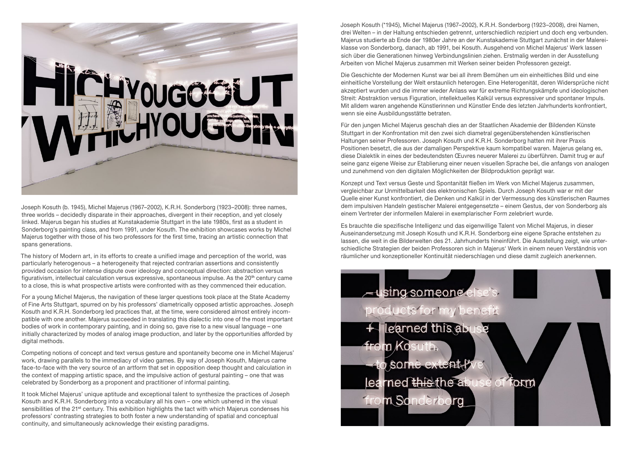

Joseph Kosuth (b. 1945), Michel Majerus (1967–2002), K.R.H. Sonderborg (1923–2008): three names, three worlds – decidedly disparate in their approaches, divergent in their reception, and yet closely linked. Majerus began his studies at Kunstakademie Stuttgart in the late 1980s, first as a student in Sonderborg's painting class, and from 1991, under Kosuth. The exhibition showcases works by Michel Majerus together with those of his two professors for the first time, tracing an artistic connection that spans generations.

The history of Modern art, in its efforts to create a unified image and perception of the world, was particularly heterogenous – a heterogeneity that rejected contrarian assertions and consistently provided occasion for intense dispute over ideology and conceptual direction: abstraction versus figurativism, intellectual calculation versus expressive, spontaneous impulse. As the 20<sup>th</sup> century came to a close, this is what prospective artists were confronted with as they commenced their education.

For a young Michel Majerus, the navigation of these larger questions took place at the State Academy of Fine Arts Stuttgart, spurred on by his professors' diametrically opposed artistic approaches. Joseph Kosuth and K.R.H. Sonderborg led practices that, at the time, were considered almost entirely incompatible with one another. Majerus succeeded in translating this dialectic into one of the most important bodies of work in contemporary painting, and in doing so, gave rise to a new visual language – one initially characterized by modes of analog image production, and later by the opportunities afforded by digital methods.

Competing notions of concept and text versus gesture and spontaneity become one in Michel Majerus' work, drawing parallels to the immediacy of video games. By way of Joseph Kosuth, Majerus came face-to-face with the very source of an artform that set in opposition deep thought and calculation in the context of mapping artistic space, and the impulsive action of gestural painting – one that was celebrated by Sonderborg as a proponent and practitioner of informal painting.

It took Michel Majerus' unique aptitude and exceptional talent to synthesize the practices of Joseph Kosuth and K.R.H. Sonderborg into a vocabulary all his own – one which ushered in the visual sensibilities of the 21<sup>st</sup> century. This exhibition highlights the tact with which Majerus condenses his professors' contrasting strategies to both foster a new understanding of spatial and conceptual continuity, and simultaneously acknowledge their existing paradigms.

Joseph Kosuth (\*1945), Michel Majerus (1967–2002), K.R.H. Sonderborg (1923–2008), drei Namen, drei Welten – in der Haltung entschieden getrennt, unterschiedlich rezipiert und doch eng verbunden. Majerus studierte ab Ende der 1980er Jahre an der Kunstakademie Stuttgart zunächst in der Malereiklasse von Sonderborg, danach, ab 1991, bei Kosuth. Ausgehend von Michel Majerus' Werk lassen sich über die Generationen hinweg Verbindungslinien ziehen. Erstmalig werden in der Ausstellung Arbeiten von Michel Majerus zusammen mit Werken seiner beiden Professoren gezeigt.

Die Geschichte der Modernen Kunst war bei all ihrem Bemühen um ein einheitliches Bild und eine einheitliche Vorstellung der Welt erstaunlich heterogen. Eine Heterogenität, deren Widersprüche nicht akzeptiert wurden und die immer wieder Anlass war für extreme Richtungskämpfe und ideologischen Streit: Abstraktion versus Figuration, intellektuelles Kalkül versus expressiver und spontaner Impuls. Mit alldem waren angehende Künstlerinnen und Künstler Ende des letzten Jahrhunderts konfrontiert, wenn sie eine Ausbildungsstätte betraten.

Für den jungen Michel Majerus geschah dies an der Staatlichen Akademie der Bildenden Künste Stuttgart in der Konfrontation mit den zwei sich diametral gegenüberstehenden künstlerischen Haltungen seiner Professoren. Joseph Kosuth und K.R.H. Sonderborg hatten mit ihrer Praxis Positionen besetzt, die aus der damaligen Perspektive kaum kompatibel waren. Majerus gelang es, diese Dialektik in eines der bedeutendsten Œuvres neuerer Malerei zu überführen. Damit trug er auf seine ganz eigene Weise zur Etablierung einer neuen visuellen Sprache bei, die anfangs von analogen und zunehmend von den digitalen Möglichkeiten der Bildproduktion geprägt war.

Konzept und Text versus Geste und Spontanität fließen im Werk von Michel Majerus zusammen, vergleichbar zur Unmittelbarkeit des elektronischen Spiels. Durch Joseph Kosuth war er mit der Quelle einer Kunst konfrontiert, die Denken und Kalkül in der Vermessung des künstlerischen Raumes dem impulsiven Handeln gestischer Malerei entgegensetzte – einem Gestus, der von Sonderborg als einem Vertreter der informellen Malerei in exemplarischer Form zelebriert wurde.

Es brauchte die spezifische Intelligenz und das eigenwillige Talent von Michel Majerus, in dieser Auseinandersetzung mit Joseph Kosuth und K.R.H. Sonderborg eine eigene Sprache entstehen zu lassen, die weit in die Bilderwelten des 21. Jahrhunderts hineinführt. Die Ausstellung zeigt, wie unterschiedliche Strategien der beiden Professoren sich in Majerus' Werk in einem neuen Verständnis von räumlicher und konzeptioneller Kontinuität niederschlagen und diese damit zugleich anerkennen.